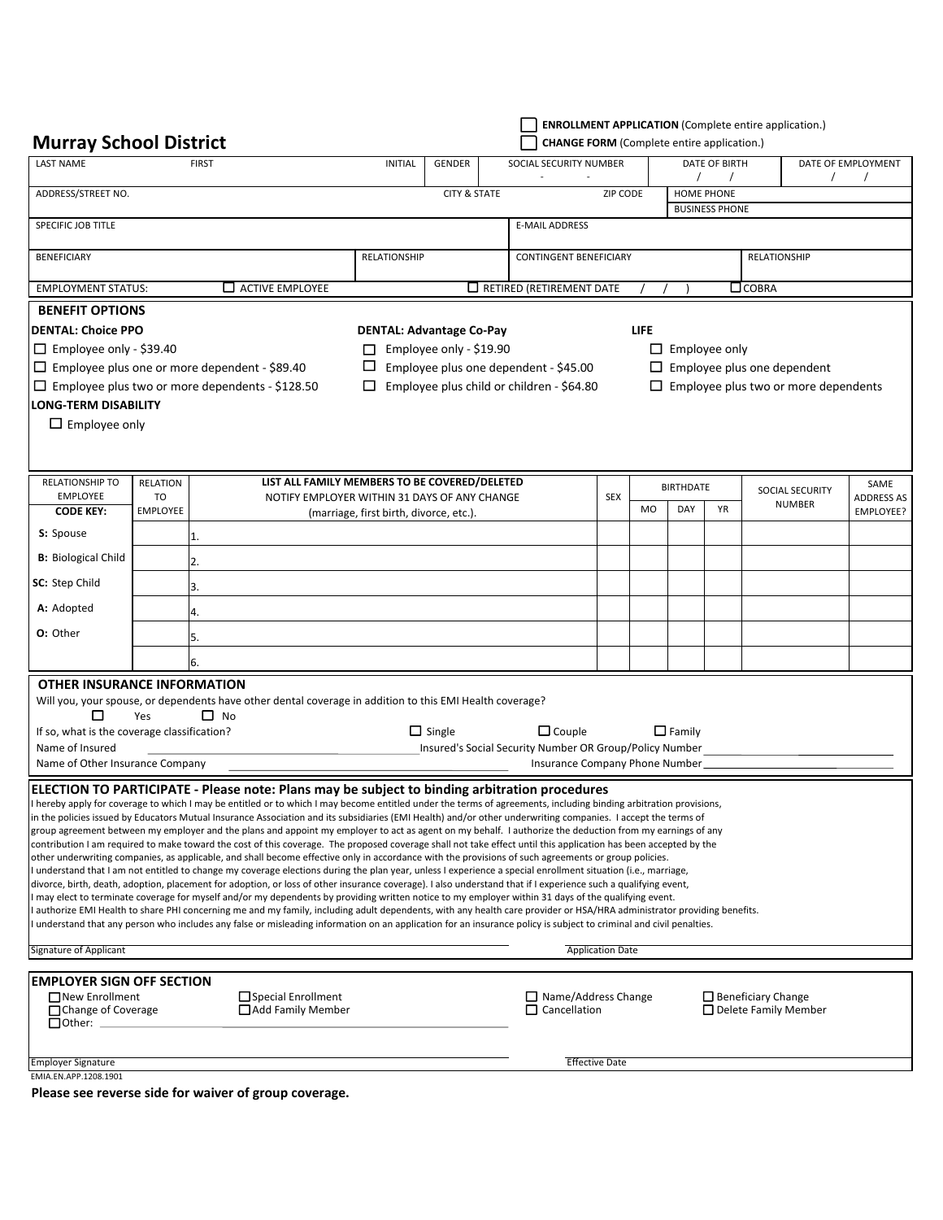| <b>Murray School District</b>                                  |                                           |                                                                                                                                                                                                                                                                                                                               |                                                                                              |                                                      |  | <b>CHANGE FORM</b> (Complete entire application.)  |                         |                                                        |                  |               | <b>ENROLLMENT APPLICATION (Complete entire application.)</b> |                    |  |
|----------------------------------------------------------------|-------------------------------------------|-------------------------------------------------------------------------------------------------------------------------------------------------------------------------------------------------------------------------------------------------------------------------------------------------------------------------------|----------------------------------------------------------------------------------------------|------------------------------------------------------|--|----------------------------------------------------|-------------------------|--------------------------------------------------------|------------------|---------------|--------------------------------------------------------------|--------------------|--|
| <b>LAST NAME</b><br><b>FIRST</b>                               |                                           |                                                                                                                                                                                                                                                                                                                               | <b>INITIAL</b><br>GENDER                                                                     |                                                      |  |                                                    | SOCIAL SECURITY NUMBER  |                                                        |                  | DATE OF BIRTH |                                                              | DATE OF EMPLOYMENT |  |
|                                                                |                                           |                                                                                                                                                                                                                                                                                                                               |                                                                                              |                                                      |  |                                                    |                         |                                                        | T                |               | $\prime$                                                     |                    |  |
| ADDRESS/STREET NO.                                             |                                           |                                                                                                                                                                                                                                                                                                                               |                                                                                              | <b>CITY &amp; STATE</b>                              |  |                                                    |                         | ZIP CODE<br><b>HOME PHONE</b><br><b>BUSINESS PHONE</b> |                  |               |                                                              |                    |  |
| SPECIFIC JOB TITLE                                             |                                           |                                                                                                                                                                                                                                                                                                                               |                                                                                              |                                                      |  | <b>E-MAIL ADDRESS</b>                              |                         |                                                        |                  |               |                                                              |                    |  |
| <b>BENEFICIARY</b>                                             |                                           |                                                                                                                                                                                                                                                                                                                               |                                                                                              | <b>RELATIONSHIP</b><br><b>CONTINGENT BENEFICIARY</b> |  |                                                    |                         |                                                        |                  |               | <b>RELATIONSHIP</b>                                          |                    |  |
| $\Box$ ACTIVE EMPLOYEE<br><b>EMPLOYMENT STATUS:</b>            |                                           |                                                                                                                                                                                                                                                                                                                               | $\Box$ RETIRED (RETIREMENT DATE                                                              |                                                      |  |                                                    |                         |                                                        |                  |               | $\Box$ COBRA                                                 |                    |  |
| <b>BENEFIT OPTIONS</b>                                         |                                           |                                                                                                                                                                                                                                                                                                                               |                                                                                              |                                                      |  |                                                    |                         |                                                        |                  |               |                                                              |                    |  |
| <b>DENTAL: Choice PPO</b>                                      |                                           |                                                                                                                                                                                                                                                                                                                               |                                                                                              |                                                      |  |                                                    |                         | <b>LIFE</b>                                            |                  |               |                                                              |                    |  |
| $\Box$ Employee only - \$39.40                                 |                                           |                                                                                                                                                                                                                                                                                                                               | <b>DENTAL: Advantage Co-Pay</b><br>Employee only - \$19.90<br>$\Box$ Employee only<br>$\Box$ |                                                      |  |                                                    |                         |                                                        |                  |               |                                                              |                    |  |
|                                                                |                                           | $\Box$ Employee plus one or more dependent - \$89.40                                                                                                                                                                                                                                                                          | ш<br>Employee plus one dependent - \$45.00<br>$\Box$ Employee plus one dependent             |                                                      |  |                                                    |                         |                                                        |                  |               |                                                              |                    |  |
|                                                                |                                           | $\Box$ Employee plus two or more dependents - \$128.50                                                                                                                                                                                                                                                                        | ⊔                                                                                            |                                                      |  | Employee plus child or children - \$64.80          |                         |                                                        |                  |               | $\Box$ Employee plus two or more dependents                  |                    |  |
| <b>LONG-TERM DISABILITY</b>                                    |                                           |                                                                                                                                                                                                                                                                                                                               |                                                                                              |                                                      |  |                                                    |                         |                                                        |                  |               |                                                              |                    |  |
| $\Box$ Employee only                                           |                                           |                                                                                                                                                                                                                                                                                                                               |                                                                                              |                                                      |  |                                                    |                         |                                                        |                  |               |                                                              |                    |  |
|                                                                |                                           |                                                                                                                                                                                                                                                                                                                               |                                                                                              |                                                      |  |                                                    |                         |                                                        |                  |               |                                                              |                    |  |
|                                                                |                                           |                                                                                                                                                                                                                                                                                                                               |                                                                                              |                                                      |  |                                                    |                         |                                                        |                  |               |                                                              |                    |  |
| RELATIONSHIP TO                                                | <b>RELATION</b>                           | LIST ALL FAMILY MEMBERS TO BE COVERED/DELETED                                                                                                                                                                                                                                                                                 |                                                                                              |                                                      |  |                                                    |                         |                                                        | <b>BIRTHDATE</b> |               | SOCIAL SECURITY                                              | SAME               |  |
| <b>EMPLOYEE</b>                                                | T <sub>O</sub>                            |                                                                                                                                                                                                                                                                                                                               | NOTIFY EMPLOYER WITHIN 31 DAYS OF ANY CHANGE                                                 |                                                      |  | <b>SEX</b>                                         | MO                      | DAY                                                    | <b>YR</b>        | <b>NUMBER</b> | <b>ADDRESS AS</b>                                            |                    |  |
| <b>CODE KEY:</b><br>S: Spouse                                  | <b>EMPLOYEE</b>                           |                                                                                                                                                                                                                                                                                                                               | (marriage, first birth, divorce, etc.).                                                      |                                                      |  |                                                    |                         |                                                        |                  |               |                                                              | EMPLOYEE?          |  |
|                                                                |                                           | 1.                                                                                                                                                                                                                                                                                                                            |                                                                                              |                                                      |  |                                                    |                         |                                                        |                  |               |                                                              |                    |  |
| <b>B:</b> Biological Child                                     |                                           | 2.                                                                                                                                                                                                                                                                                                                            |                                                                                              |                                                      |  |                                                    |                         |                                                        |                  |               |                                                              |                    |  |
| SC: Step Child                                                 |                                           | 3.                                                                                                                                                                                                                                                                                                                            |                                                                                              |                                                      |  |                                                    |                         |                                                        |                  |               |                                                              |                    |  |
| A: Adopted                                                     |                                           | 4.                                                                                                                                                                                                                                                                                                                            |                                                                                              |                                                      |  |                                                    |                         |                                                        |                  |               |                                                              |                    |  |
| O: Other                                                       |                                           | 5.                                                                                                                                                                                                                                                                                                                            |                                                                                              |                                                      |  |                                                    |                         |                                                        |                  |               |                                                              |                    |  |
|                                                                |                                           | 6.                                                                                                                                                                                                                                                                                                                            |                                                                                              |                                                      |  |                                                    |                         |                                                        |                  |               |                                                              |                    |  |
| <b>OTHER INSURANCE INFORMATION</b>                             |                                           |                                                                                                                                                                                                                                                                                                                               |                                                                                              |                                                      |  |                                                    |                         |                                                        |                  |               |                                                              |                    |  |
|                                                                |                                           | Will you, your spouse, or dependents have other dental coverage in addition to this EMI Health coverage?                                                                                                                                                                                                                      |                                                                                              |                                                      |  |                                                    |                         |                                                        |                  |               |                                                              |                    |  |
| □                                                              | Yes                                       | $\Box$ No                                                                                                                                                                                                                                                                                                                     |                                                                                              | $\Box$ Single                                        |  | $\Box$ Couple                                      |                         |                                                        |                  |               |                                                              |                    |  |
| If so, what is the coverage classification?<br>Name of Insured |                                           |                                                                                                                                                                                                                                                                                                                               | $\square$ Family<br>Insured's Social Security Number OR Group/Policy Number                  |                                                      |  |                                                    |                         |                                                        |                  |               |                                                              |                    |  |
| Name of Other Insurance Company                                |                                           |                                                                                                                                                                                                                                                                                                                               |                                                                                              |                                                      |  | Insurance Company Phone Number_                    |                         |                                                        |                  |               |                                                              |                    |  |
|                                                                |                                           | ELECTION TO PARTICIPATE - Please note: Plans may be subject to binding arbitration procedures                                                                                                                                                                                                                                 |                                                                                              |                                                      |  |                                                    |                         |                                                        |                  |               |                                                              |                    |  |
|                                                                |                                           | I hereby apply for coverage to which I may be entitled or to which I may become entitled under the terms of agreements, including binding arbitration provisions,                                                                                                                                                             |                                                                                              |                                                      |  |                                                    |                         |                                                        |                  |               |                                                              |                    |  |
|                                                                |                                           | in the policies issued by Educators Mutual Insurance Association and its subsidiaries (EMI Health) and/or other underwriting companies. I accept the terms of                                                                                                                                                                 |                                                                                              |                                                      |  |                                                    |                         |                                                        |                  |               |                                                              |                    |  |
|                                                                |                                           | group agreement between my employer and the plans and appoint my employer to act as agent on my behalf. I authorize the deduction from my earnings of any<br>contribution I am required to make toward the cost of this coverage. The proposed coverage shall not take effect until this application has been accepted by the |                                                                                              |                                                      |  |                                                    |                         |                                                        |                  |               |                                                              |                    |  |
|                                                                |                                           | other underwriting companies, as applicable, and shall become effective only in accordance with the provisions of such agreements or group policies.                                                                                                                                                                          |                                                                                              |                                                      |  |                                                    |                         |                                                        |                  |               |                                                              |                    |  |
|                                                                |                                           | I understand that I am not entitled to change my coverage elections during the plan year, unless I experience a special enrollment situation (i.e., marriage,                                                                                                                                                                 |                                                                                              |                                                      |  |                                                    |                         |                                                        |                  |               |                                                              |                    |  |
|                                                                |                                           | divorce, birth, death, adoption, placement for adoption, or loss of other insurance coverage). I also understand that if I experience such a qualifying event,<br>I may elect to terminate coverage for myself and/or my dependents by providing written notice to my employer within 31 days of the qualifying event.        |                                                                                              |                                                      |  |                                                    |                         |                                                        |                  |               |                                                              |                    |  |
|                                                                |                                           | authorize EMI Health to share PHI concerning me and my family, including adult dependents, with any health care provider or HSA/HRA administrator providing benefits.                                                                                                                                                         |                                                                                              |                                                      |  |                                                    |                         |                                                        |                  |               |                                                              |                    |  |
|                                                                |                                           | understand that any person who includes any false or misleading information on an application for an insurance policy is subject to criminal and civil penalties.                                                                                                                                                             |                                                                                              |                                                      |  |                                                    |                         |                                                        |                  |               |                                                              |                    |  |
| Signature of Applicant                                         |                                           |                                                                                                                                                                                                                                                                                                                               |                                                                                              |                                                      |  |                                                    | <b>Application Date</b> |                                                        |                  |               |                                                              |                    |  |
| <b>EMPLOYER SIGN OFF SECTION</b>                               |                                           |                                                                                                                                                                                                                                                                                                                               |                                                                                              |                                                      |  |                                                    |                         |                                                        |                  |               |                                                              |                    |  |
| □ New Enrollment                                               |                                           | □ Special Enrollment                                                                                                                                                                                                                                                                                                          |                                                                                              |                                                      |  | $\Box$ Name/Address Change                         |                         |                                                        |                  |               | $\Box$ Beneficiary Change                                    |                    |  |
|                                                                | Add Family Member<br>□ Change of Coverage |                                                                                                                                                                                                                                                                                                                               |                                                                                              |                                                      |  | $\Box$ Cancellation<br>$\Box$ Delete Family Member |                         |                                                        |                  |               |                                                              |                    |  |
| $\Box$ Other: $\Box$                                           |                                           |                                                                                                                                                                                                                                                                                                                               |                                                                                              |                                                      |  |                                                    |                         |                                                        |                  |               |                                                              |                    |  |
| <b>Employer Signature</b>                                      |                                           |                                                                                                                                                                                                                                                                                                                               |                                                                                              |                                                      |  |                                                    | <b>Effective Date</b>   |                                                        |                  |               |                                                              |                    |  |
| EMIA.EN.APP.1208.1901                                          |                                           |                                                                                                                                                                                                                                                                                                                               |                                                                                              |                                                      |  |                                                    |                         |                                                        |                  |               |                                                              |                    |  |

**Please see reverse side for waiver of group coverage.**